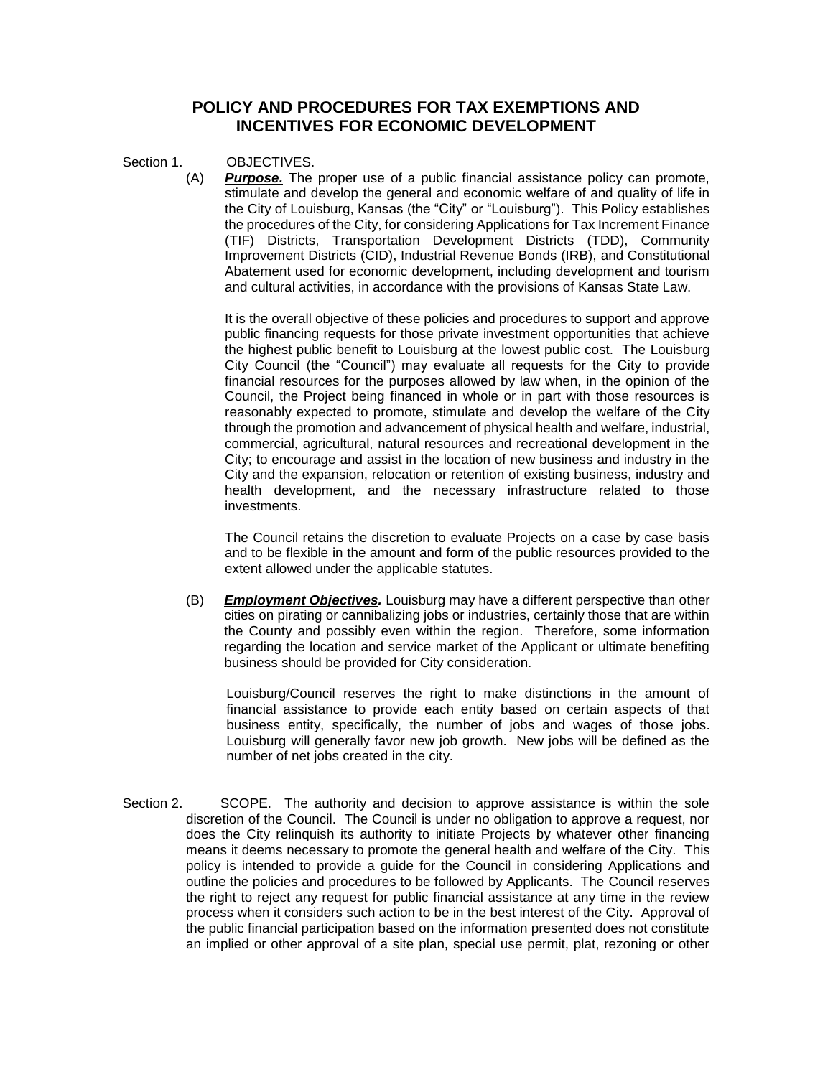# **POLICY AND PROCEDURES FOR TAX EXEMPTIONS AND INCENTIVES FOR ECONOMIC DEVELOPMENT**

Section 1. OBJECTIVES.

(A) *Purpose.* The proper use of a public financial assistance policy can promote, stimulate and develop the general and economic welfare of and quality of life in the City of Louisburg, Kansas (the "City" or "Louisburg"). This Policy establishes the procedures of the City, for considering Applications for Tax Increment Finance (TIF) Districts, Transportation Development Districts (TDD), Community Improvement Districts (CID), Industrial Revenue Bonds (IRB), and Constitutional Abatement used for economic development, including development and tourism and cultural activities, in accordance with the provisions of Kansas State Law.

It is the overall objective of these policies and procedures to support and approve public financing requests for those private investment opportunities that achieve the highest public benefit to Louisburg at the lowest public cost. The Louisburg City Council (the "Council") may evaluate all requests for the City to provide financial resources for the purposes allowed by law when, in the opinion of the Council, the Project being financed in whole or in part with those resources is reasonably expected to promote, stimulate and develop the welfare of the City through the promotion and advancement of physical health and welfare, industrial, commercial, agricultural, natural resources and recreational development in the City; to encourage and assist in the location of new business and industry in the City and the expansion, relocation or retention of existing business, industry and health development, and the necessary infrastructure related to those investments.

The Council retains the discretion to evaluate Projects on a case by case basis and to be flexible in the amount and form of the public resources provided to the extent allowed under the applicable statutes.

(B) *Employment Objectives.* Louisburg may have a different perspective than other cities on pirating or cannibalizing jobs or industries, certainly those that are within the County and possibly even within the region. Therefore, some information regarding the location and service market of the Applicant or ultimate benefiting business should be provided for City consideration.

Louisburg/Council reserves the right to make distinctions in the amount of financial assistance to provide each entity based on certain aspects of that business entity, specifically, the number of jobs and wages of those jobs. Louisburg will generally favor new job growth. New jobs will be defined as the number of net jobs created in the city.

Section 2. SCOPE. The authority and decision to approve assistance is within the sole discretion of the Council. The Council is under no obligation to approve a request, nor does the City relinquish its authority to initiate Projects by whatever other financing means it deems necessary to promote the general health and welfare of the City. This policy is intended to provide a guide for the Council in considering Applications and outline the policies and procedures to be followed by Applicants. The Council reserves the right to reject any request for public financial assistance at any time in the review process when it considers such action to be in the best interest of the City. Approval of the public financial participation based on the information presented does not constitute an implied or other approval of a site plan, special use permit, plat, rezoning or other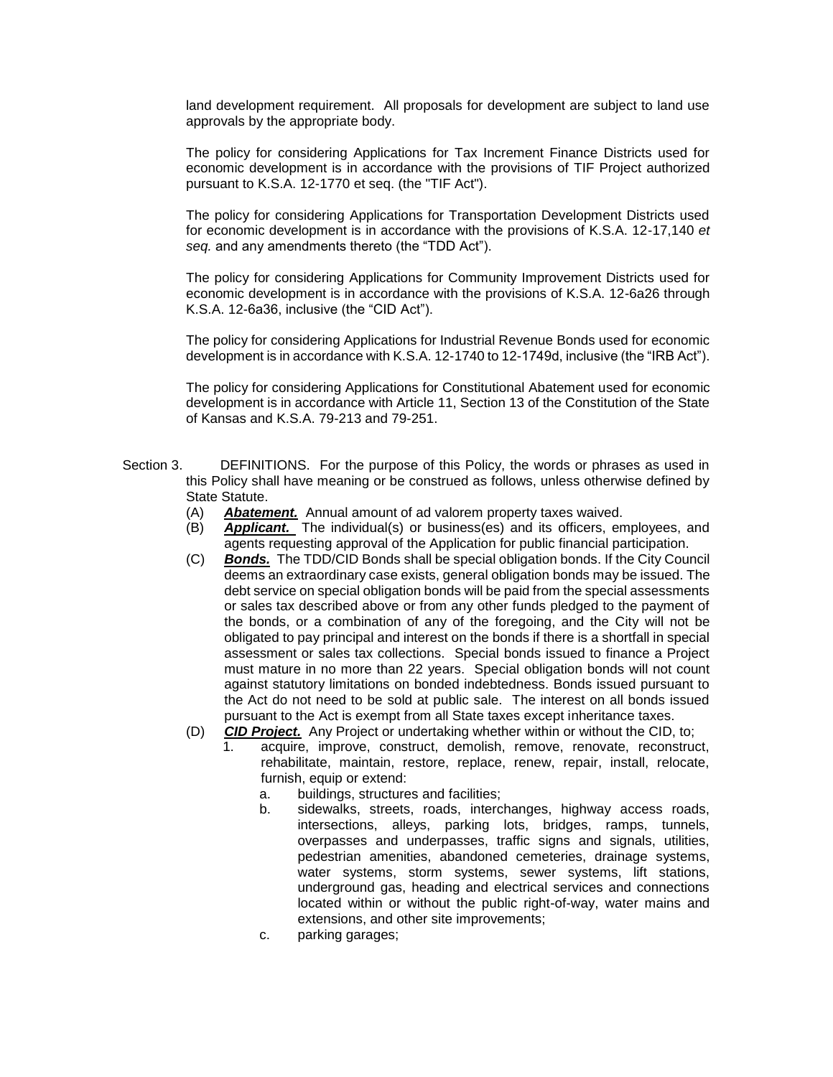land development requirement. All proposals for development are subject to land use approvals by the appropriate body.

The policy for considering Applications for Tax Increment Finance Districts used for economic development is in accordance with the provisions of TIF Project authorized pursuant to K.S.A. 12-1770 et seq. (the "TIF Act").

The policy for considering Applications for Transportation Development Districts used for economic development is in accordance with the provisions of K.S.A. 12-17,140 *et seq.* and any amendments thereto (the "TDD Act").

The policy for considering Applications for Community Improvement Districts used for economic development is in accordance with the provisions of K.S.A. 12-6a26 through K.S.A. 12-6a36, inclusive (the "CID Act").

The policy for considering Applications for Industrial Revenue Bonds used for economic development is in accordance with K.S.A. 12-1740 to 12-1749d, inclusive (the "IRB Act").

The policy for considering Applications for Constitutional Abatement used for economic development is in accordance with Article 11, Section 13 of the Constitution of the State of Kansas and K.S.A. 79-213 and 79-251.

- Section 3. DEFINITIONS. For the purpose of this Policy, the words or phrases as used in this Policy shall have meaning or be construed as follows, unless otherwise defined by State Statute.
	- (A) *Abatement.* Annual amount of ad valorem property taxes waived.
	- (B) *Applicant.* The individual(s) or business(es) and its officers, employees, and agents requesting approval of the Application for public financial participation.
	- (C) *Bonds.* The TDD/CID Bonds shall be special obligation bonds. If the City Council deems an extraordinary case exists, general obligation bonds may be issued. The debt service on special obligation bonds will be paid from the special assessments or sales tax described above or from any other funds pledged to the payment of the bonds, or a combination of any of the foregoing, and the City will not be obligated to pay principal and interest on the bonds if there is a shortfall in special assessment or sales tax collections. Special bonds issued to finance a Project must mature in no more than 22 years. Special obligation bonds will not count against statutory limitations on bonded indebtedness. Bonds issued pursuant to the Act do not need to be sold at public sale. The interest on all bonds issued pursuant to the Act is exempt from all State taxes except inheritance taxes.
	- (D) *CID Project.* Any Project or undertaking whether within or without the CID, to;
		- 1. acquire, improve, construct, demolish, remove, renovate, reconstruct, rehabilitate, maintain, restore, replace, renew, repair, install, relocate, furnish, equip or extend:
			- a. buildings, structures and facilities;
			- b. sidewalks, streets, roads, interchanges, highway access roads, intersections, alleys, parking lots, bridges, ramps, tunnels, overpasses and underpasses, traffic signs and signals, utilities, pedestrian amenities, abandoned cemeteries, drainage systems, water systems, storm systems, sewer systems, lift stations, underground gas, heading and electrical services and connections located within or without the public right-of-way, water mains and extensions, and other site improvements;
			- c. parking garages;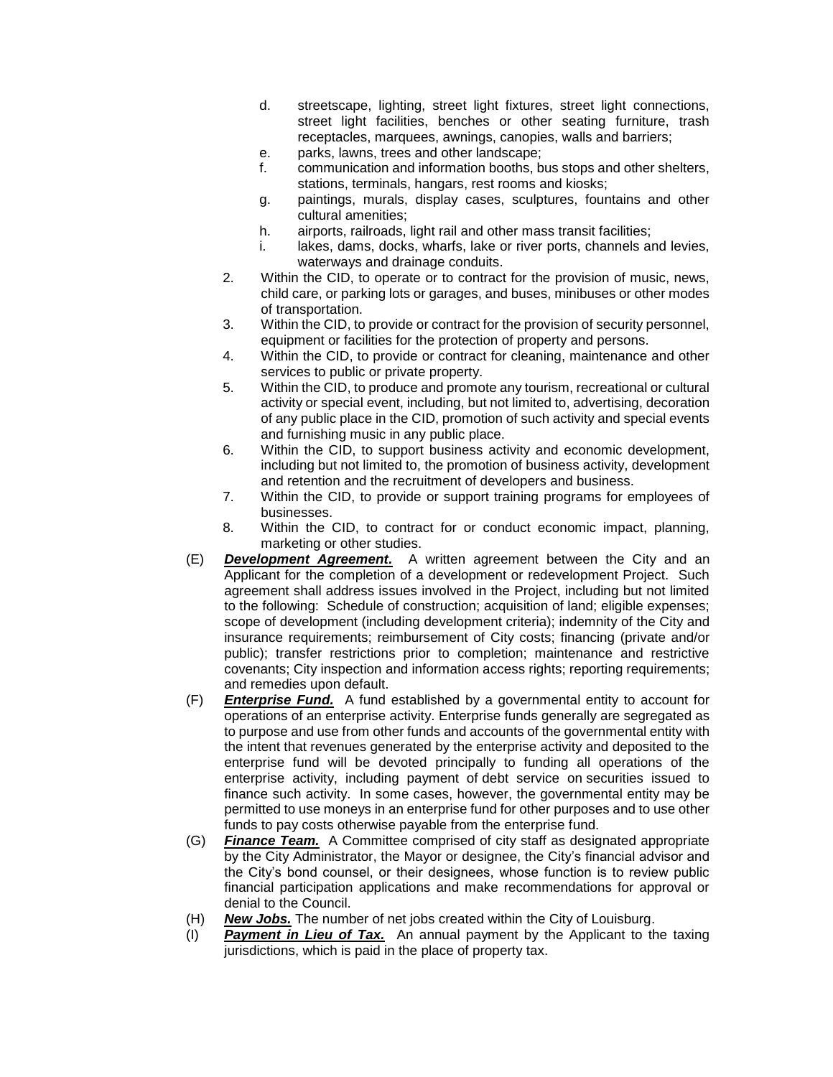- d. streetscape, lighting, street light fixtures, street light connections, street light facilities, benches or other seating furniture, trash receptacles, marquees, awnings, canopies, walls and barriers;
- e. parks, lawns, trees and other landscape;
- f. communication and information booths, bus stops and other shelters, stations, terminals, hangars, rest rooms and kiosks;
- g. paintings, murals, display cases, sculptures, fountains and other cultural amenities;
- h. airports, railroads, light rail and other mass transit facilities;
- i. lakes, dams, docks, wharfs, lake or river ports, channels and levies, waterways and drainage conduits.
- 2. Within the CID, to operate or to contract for the provision of music, news, child care, or parking lots or garages, and buses, minibuses or other modes of transportation.
- 3. Within the CID, to provide or contract for the provision of security personnel, equipment or facilities for the protection of property and persons.
- 4. Within the CID, to provide or contract for cleaning, maintenance and other services to public or private property.
- 5. Within the CID, to produce and promote any tourism, recreational or cultural activity or special event, including, but not limited to, advertising, decoration of any public place in the CID, promotion of such activity and special events and furnishing music in any public place.
- 6. Within the CID, to support business activity and economic development, including but not limited to, the promotion of business activity, development and retention and the recruitment of developers and business.
- 7. Within the CID, to provide or support training programs for employees of businesses.
- 8. Within the CID, to contract for or conduct economic impact, planning, marketing or other studies.
- (E) *Development Agreement.* A written agreement between the City and an Applicant for the completion of a development or redevelopment Project. Such agreement shall address issues involved in the Project, including but not limited to the following: Schedule of construction; acquisition of land; eligible expenses; scope of development (including development criteria); indemnity of the City and insurance requirements; reimbursement of City costs; financing (private and/or public); transfer restrictions prior to completion; maintenance and restrictive covenants; City inspection and information access rights; reporting requirements; and remedies upon default.
- (F) *Enterprise Fund.* A fund established by a governmental entity to account for operations of an enterprise activity. Enterprise funds generally are segregated as to purpose and use from other funds and accounts of the governmental entity with the intent that revenues generated by the enterprise activity and deposited to the enterprise fund will be devoted principally to funding all operations of the enterprise activity, including payment of debt service on securities issued to finance such activity. In some cases, however, the governmental entity may be permitted to use moneys in an enterprise fund for other purposes and to use other funds to pay costs otherwise payable from the enterprise fund.
- (G) *Finance Team.* A Committee comprised of city staff as designated appropriate by the City Administrator, the Mayor or designee, the City's financial advisor and the City's bond counsel, or their designees, whose function is to review public financial participation applications and make recommendations for approval or denial to the Council.
- (H) *New Jobs.* The number of net jobs created within the City of Louisburg.
- (I) *Payment in Lieu of Tax.* An annual payment by the Applicant to the taxing jurisdictions, which is paid in the place of property tax.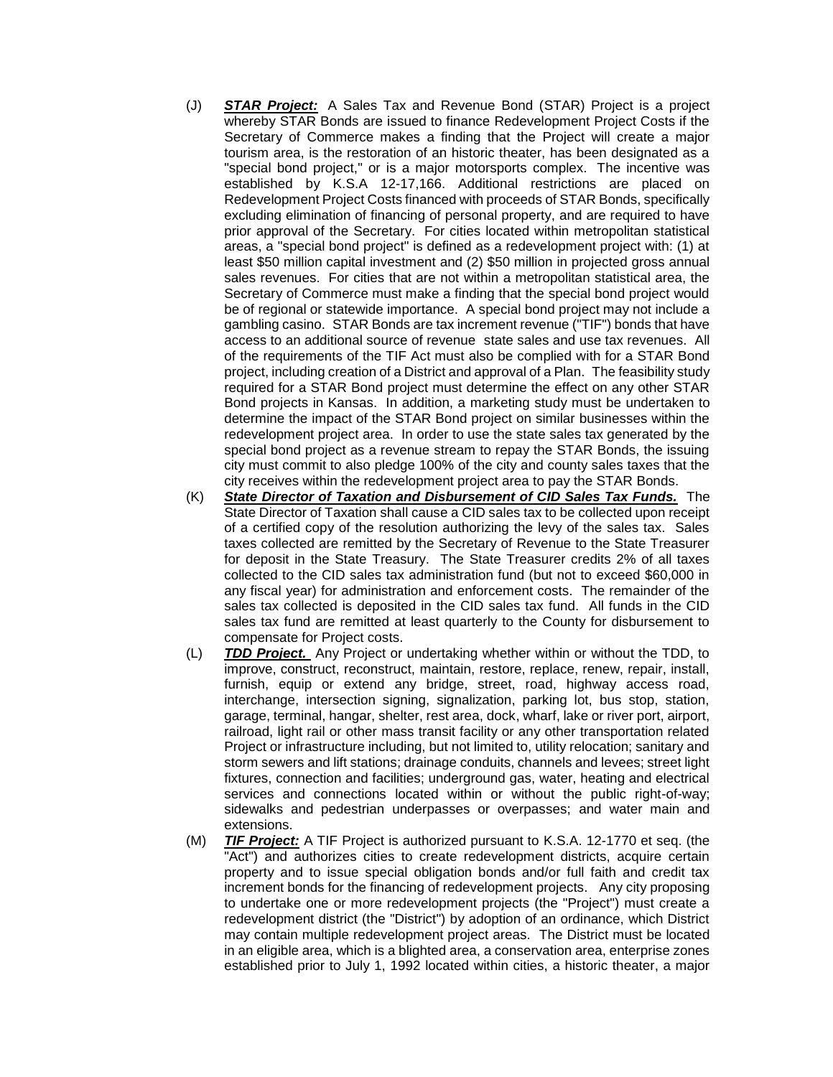- (J) *STAR Project:* A Sales Tax and Revenue Bond (STAR) Project is a project whereby STAR Bonds are issued to finance Redevelopment Project Costs if the Secretary of Commerce makes a finding that the Project will create a major tourism area, is the restoration of an historic theater, has been designated as a "special bond project," or is a major motorsports complex. The incentive was established by K.S.A 12-17,166. Additional restrictions are placed on Redevelopment Project Costs financed with proceeds of STAR Bonds, specifically excluding elimination of financing of personal property, and are required to have prior approval of the Secretary. For cities located within metropolitan statistical areas, a "special bond project" is defined as a redevelopment project with: (1) at least \$50 million capital investment and (2) \$50 million in projected gross annual sales revenues. For cities that are not within a metropolitan statistical area, the Secretary of Commerce must make a finding that the special bond project would be of regional or statewide importance. A special bond project may not include a gambling casino. STAR Bonds are tax increment revenue ("TIF") bonds that have access to an additional source of revenue state sales and use tax revenues. All of the requirements of the TIF Act must also be complied with for a STAR Bond project, including creation of a District and approval of a Plan. The feasibility study required for a STAR Bond project must determine the effect on any other STAR Bond projects in Kansas. In addition, a marketing study must be undertaken to determine the impact of the STAR Bond project on similar businesses within the redevelopment project area. In order to use the state sales tax generated by the special bond project as a revenue stream to repay the STAR Bonds, the issuing city must commit to also pledge 100% of the city and county sales taxes that the city receives within the redevelopment project area to pay the STAR Bonds.
- (K) *State Director of Taxation and Disbursement of CID Sales Tax Funds.* The State Director of Taxation shall cause a CID sales tax to be collected upon receipt of a certified copy of the resolution authorizing the levy of the sales tax. Sales taxes collected are remitted by the Secretary of Revenue to the State Treasurer for deposit in the State Treasury. The State Treasurer credits 2% of all taxes collected to the CID sales tax administration fund (but not to exceed \$60,000 in any fiscal year) for administration and enforcement costs. The remainder of the sales tax collected is deposited in the CID sales tax fund. All funds in the CID sales tax fund are remitted at least quarterly to the County for disbursement to compensate for Project costs.
- (L) *TDD Project.* Any Project or undertaking whether within or without the TDD, to improve, construct, reconstruct, maintain, restore, replace, renew, repair, install, furnish, equip or extend any bridge, street, road, highway access road, interchange, intersection signing, signalization, parking lot, bus stop, station, garage, terminal, hangar, shelter, rest area, dock, wharf, lake or river port, airport, railroad, light rail or other mass transit facility or any other transportation related Project or infrastructure including, but not limited to, utility relocation; sanitary and storm sewers and lift stations; drainage conduits, channels and levees; street light fixtures, connection and facilities; underground gas, water, heating and electrical services and connections located within or without the public right-of-way; sidewalks and pedestrian underpasses or overpasses; and water main and extensions.
- (M) *TIF Project:* A TIF Project is authorized pursuant to K.S.A. 12-1770 et seq. (the "Act") and authorizes cities to create redevelopment districts, acquire certain property and to issue special obligation bonds and/or full faith and credit tax increment bonds for the financing of redevelopment projects. Any city proposing to undertake one or more redevelopment projects (the "Project") must create a redevelopment district (the "District") by adoption of an ordinance, which District may contain multiple redevelopment project areas. The District must be located in an eligible area, which is a blighted area, a conservation area, enterprise zones established prior to July 1, 1992 located within cities, a historic theater, a major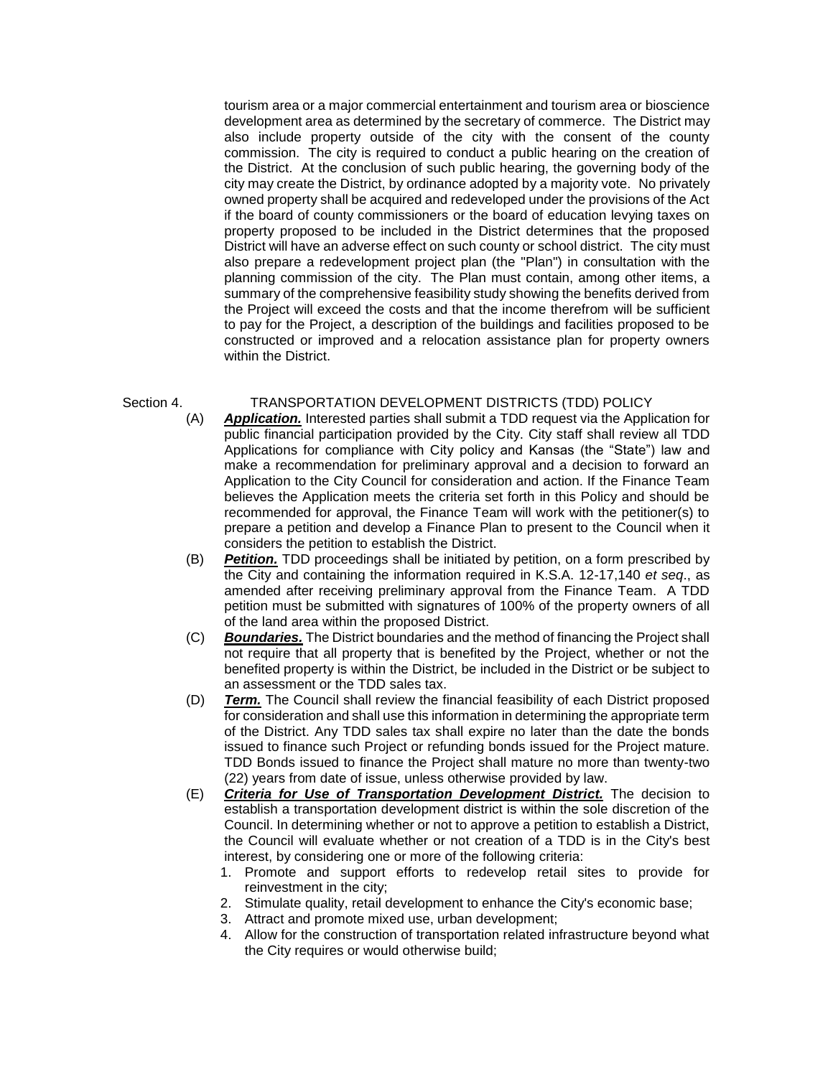tourism area or a major commercial entertainment and tourism area or bioscience development area as determined by the secretary of commerce. The District may also include property outside of the city with the consent of the county commission. The city is required to conduct a public hearing on the creation of the District. At the conclusion of such public hearing, the governing body of the city may create the District, by ordinance adopted by a majority vote. No privately owned property shall be acquired and redeveloped under the provisions of the Act if the board of county commissioners or the board of education levying taxes on property proposed to be included in the District determines that the proposed District will have an adverse effect on such county or school district. The city must also prepare a redevelopment project plan (the "Plan") in consultation with the planning commission of the city. The Plan must contain, among other items, a summary of the comprehensive feasibility study showing the benefits derived from the Project will exceed the costs and that the income therefrom will be sufficient to pay for the Project, a description of the buildings and facilities proposed to be constructed or improved and a relocation assistance plan for property owners within the District.

# Section 4. TRANSPORTATION DEVELOPMENT DISTRICTS (TDD) POLICY<br>(A) **Application.** Interested parties shall submit a TDD request via the Applic

- Application. Interested parties shall submit a TDD request via the Application for public financial participation provided by the City. City staff shall review all TDD Applications for compliance with City policy and Kansas (the "State") law and make a recommendation for preliminary approval and a decision to forward an Application to the City Council for consideration and action. If the Finance Team believes the Application meets the criteria set forth in this Policy and should be recommended for approval, the Finance Team will work with the petitioner(s) to prepare a petition and develop a Finance Plan to present to the Council when it considers the petition to establish the District.
- (B) *Petition.* TDD proceedings shall be initiated by petition, on a form prescribed by the City and containing the information required in K.S.A. 12-17,140 *et seq*., as amended after receiving preliminary approval from the Finance Team. A TDD petition must be submitted with signatures of 100% of the property owners of all of the land area within the proposed District.
- (C) *Boundaries.* The District boundaries and the method of financing the Project shall not require that all property that is benefited by the Project, whether or not the benefited property is within the District, be included in the District or be subject to an assessment or the TDD sales tax.
- (D) *Term.* The Council shall review the financial feasibility of each District proposed for consideration and shall use this information in determining the appropriate term of the District. Any TDD sales tax shall expire no later than the date the bonds issued to finance such Project or refunding bonds issued for the Project mature. TDD Bonds issued to finance the Project shall mature no more than twenty-two (22) years from date of issue, unless otherwise provided by law.
- (E) *Criteria for Use of Transportation Development District.* The decision to establish a transportation development district is within the sole discretion of the Council. In determining whether or not to approve a petition to establish a District, the Council will evaluate whether or not creation of a TDD is in the City's best interest, by considering one or more of the following criteria:
	- 1. Promote and support efforts to redevelop retail sites to provide for reinvestment in the city;
	- 2. Stimulate quality, retail development to enhance the City's economic base;
	- 3. Attract and promote mixed use, urban development;
	- 4. Allow for the construction of transportation related infrastructure beyond what the City requires or would otherwise build;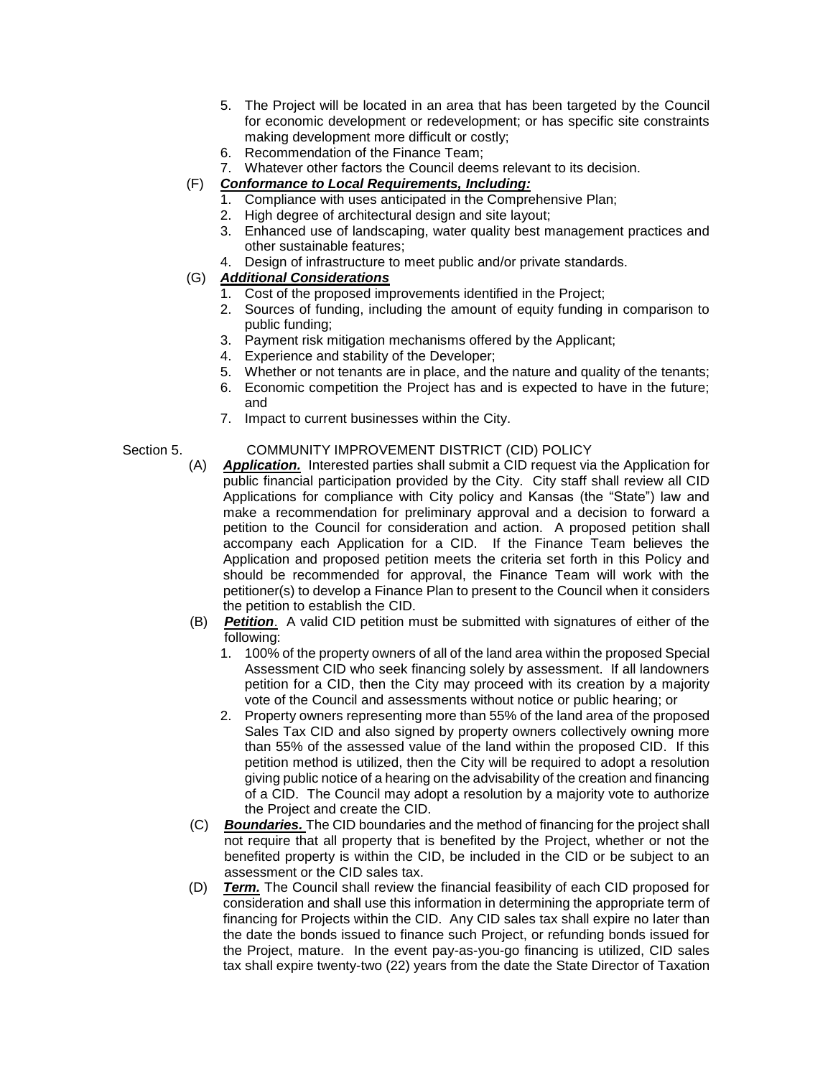- 5. The Project will be located in an area that has been targeted by the Council for economic development or redevelopment; or has specific site constraints making development more difficult or costly;
- 6. Recommendation of the Finance Team;
- 7. Whatever other factors the Council deems relevant to its decision.
- (F) *Conformance to Local Requirements, Including:*
	- 1. Compliance with uses anticipated in the Comprehensive Plan;
	- 2. High degree of architectural design and site layout;
	- 3. Enhanced use of landscaping, water quality best management practices and other sustainable features;
	- 4. Design of infrastructure to meet public and/or private standards.
- (G) *Additional Considerations*
	- 1. Cost of the proposed improvements identified in the Project;
	- 2. Sources of funding, including the amount of equity funding in comparison to public funding;
	- 3. Payment risk mitigation mechanisms offered by the Applicant;
	- 4. Experience and stability of the Developer;
	- 5. Whether or not tenants are in place, and the nature and quality of the tenants;
	- 6. Economic competition the Project has and is expected to have in the future; and
	- 7. Impact to current businesses within the City.

# Section 5. COMMUNITY IMPROVEMENT DISTRICT (CID) POLICY

- (A) *Application.* Interested parties shall submit a CID request via the Application for public financial participation provided by the City. City staff shall review all CID Applications for compliance with City policy and Kansas (the "State") law and make a recommendation for preliminary approval and a decision to forward a petition to the Council for consideration and action. A proposed petition shall accompany each Application for a CID. If the Finance Team believes the Application and proposed petition meets the criteria set forth in this Policy and should be recommended for approval, the Finance Team will work with the petitioner(s) to develop a Finance Plan to present to the Council when it considers the petition to establish the CID.
- (B) *Petition*. A valid CID petition must be submitted with signatures of either of the following:
	- 1. 100% of the property owners of all of the land area within the proposed Special Assessment CID who seek financing solely by assessment. If all landowners petition for a CID, then the City may proceed with its creation by a majority vote of the Council and assessments without notice or public hearing; or
	- 2. Property owners representing more than 55% of the land area of the proposed Sales Tax CID and also signed by property owners collectively owning more than 55% of the assessed value of the land within the proposed CID. If this petition method is utilized, then the City will be required to adopt a resolution giving public notice of a hearing on the advisability of the creation and financing of a CID. The Council may adopt a resolution by a majority vote to authorize the Project and create the CID.
- (C) *Boundaries.* The CID boundaries and the method of financing for the project shall not require that all property that is benefited by the Project, whether or not the benefited property is within the CID, be included in the CID or be subject to an assessment or the CID sales tax.
- (D) *Term.* The Council shall review the financial feasibility of each CID proposed for consideration and shall use this information in determining the appropriate term of financing for Projects within the CID. Any CID sales tax shall expire no later than the date the bonds issued to finance such Project, or refunding bonds issued for the Project, mature. In the event pay-as-you-go financing is utilized, CID sales tax shall expire twenty-two (22) years from the date the State Director of Taxation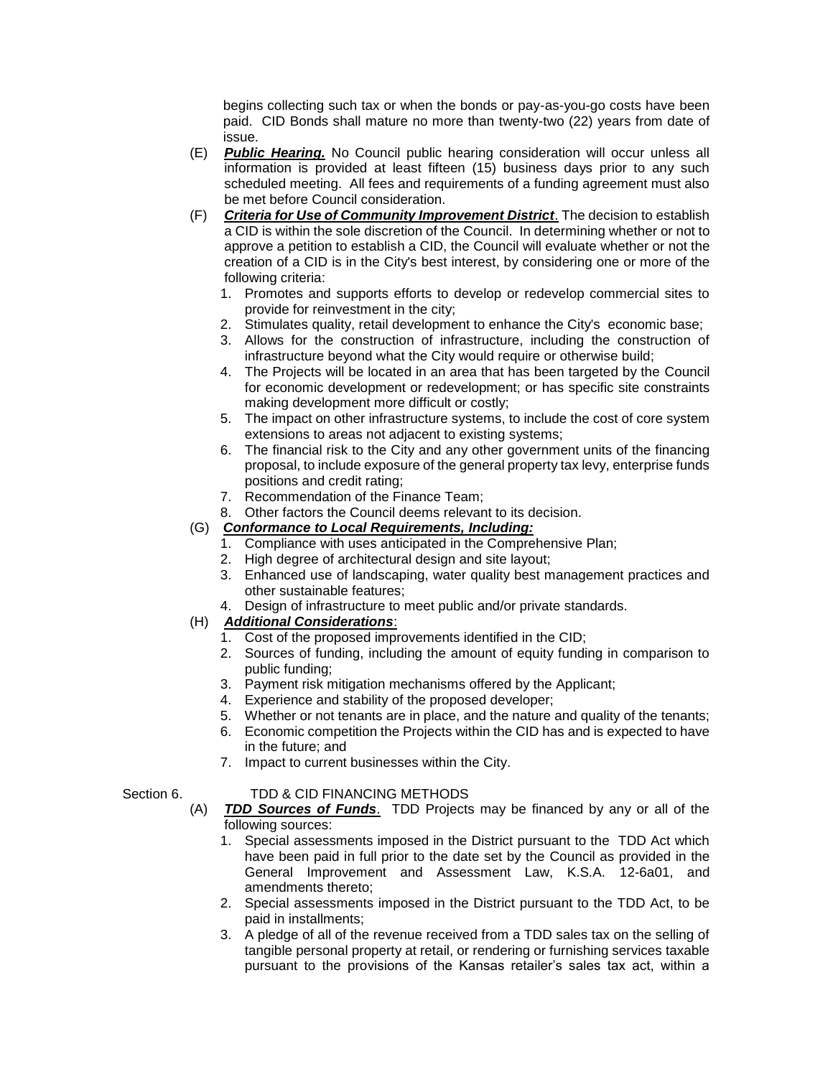begins collecting such tax or when the bonds or pay-as-you-go costs have been paid. CID Bonds shall mature no more than twenty-two (22) years from date of issue.

- (E) *Public Hearing.* No Council public hearing consideration will occur unless all information is provided at least fifteen (15) business days prior to any such scheduled meeting. All fees and requirements of a funding agreement must also be met before Council consideration.
- (F) *Criteria for Use of Community Improvement District*. The decision to establish a CID is within the sole discretion of the Council. In determining whether or not to approve a petition to establish a CID, the Council will evaluate whether or not the creation of a CID is in the City's best interest, by considering one or more of the following criteria:
	- 1. Promotes and supports efforts to develop or redevelop commercial sites to provide for reinvestment in the city;
	- 2. Stimulates quality, retail development to enhance the City's economic base;
	- 3. Allows for the construction of infrastructure, including the construction of infrastructure beyond what the City would require or otherwise build;
	- 4. The Projects will be located in an area that has been targeted by the Council for economic development or redevelopment; or has specific site constraints making development more difficult or costly;
	- 5. The impact on other infrastructure systems, to include the cost of core system extensions to areas not adjacent to existing systems;
	- 6. The financial risk to the City and any other government units of the financing proposal, to include exposure of the general property tax levy, enterprise funds positions and credit rating;
	- 7. Recommendation of the Finance Team;
	- 8. Other factors the Council deems relevant to its decision.

# (G) *Conformance to Local Requirements, Including:*

- 1. Compliance with uses anticipated in the Comprehensive Plan;
- 2. High degree of architectural design and site layout;
- 3. Enhanced use of landscaping, water quality best management practices and other sustainable features;
- 4. Design of infrastructure to meet public and/or private standards.

# (H) *Additional Considerations*:

- 1. Cost of the proposed improvements identified in the CID;
- 2. Sources of funding, including the amount of equity funding in comparison to public funding;
- 3. Payment risk mitigation mechanisms offered by the Applicant;
- 4. Experience and stability of the proposed developer;
- 5. Whether or not tenants are in place, and the nature and quality of the tenants;
- 6. Economic competition the Projects within the CID has and is expected to have in the future; and
- 7. Impact to current businesses within the City.

#### Section 6. TDD & CID FINANCING METHODS

- (A) *TDD Sources of Funds*. TDD Projects may be financed by any or all of the following sources:
	- 1. Special assessments imposed in the District pursuant to the TDD Act which have been paid in full prior to the date set by the Council as provided in the General Improvement and Assessment Law, K.S.A. 12-6a01, and amendments thereto;
	- 2. Special assessments imposed in the District pursuant to the TDD Act, to be paid in installments;
	- 3. A pledge of all of the revenue received from a TDD sales tax on the selling of tangible personal property at retail, or rendering or furnishing services taxable pursuant to the provisions of the Kansas retailer's sales tax act, within a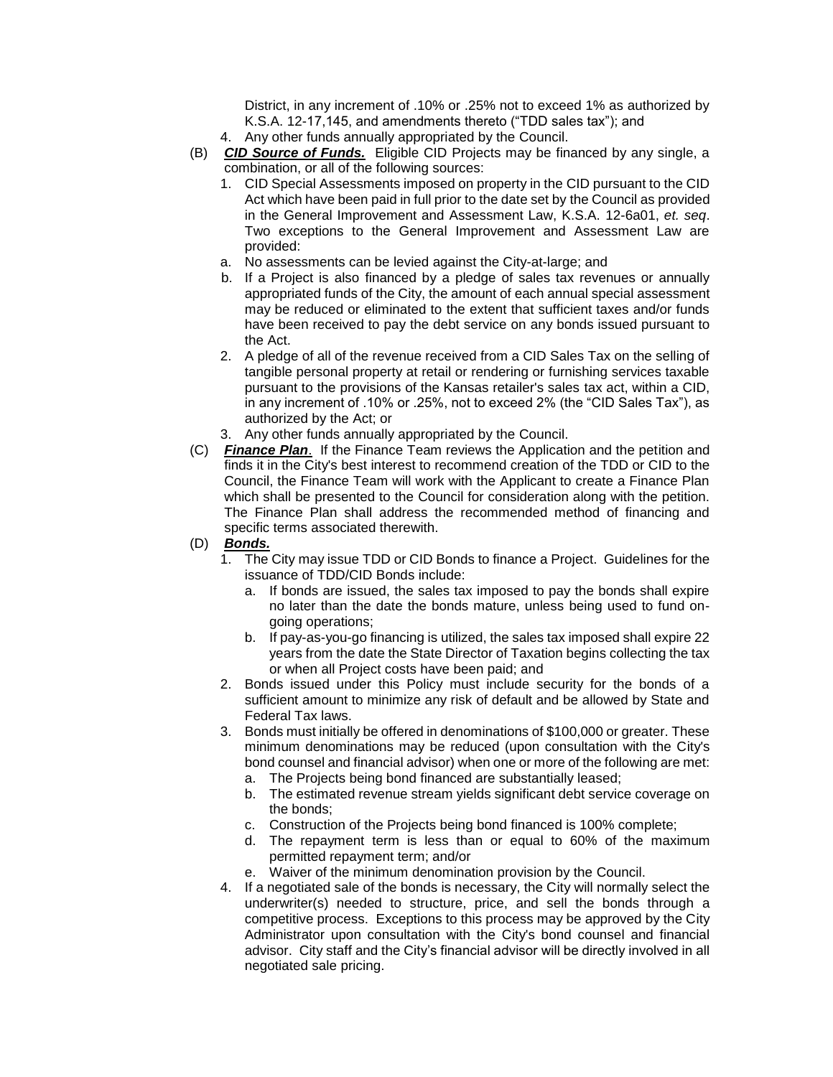District, in any increment of .10% or .25% not to exceed 1% as authorized by K.S.A. 12-17,145, and amendments thereto ("TDD sales tax"); and

- 4. Any other funds annually appropriated by the Council.
- (B) *CID Source of Funds.* Eligible CID Projects may be financed by any single, a combination, or all of the following sources:
	- 1. CID Special Assessments imposed on property in the CID pursuant to the CID Act which have been paid in full prior to the date set by the Council as provided in the General Improvement and Assessment Law, K.S.A. 12-6a01, *et. seq*. Two exceptions to the General Improvement and Assessment Law are provided:
	- a. No assessments can be levied against the City-at-large; and
	- b. If a Project is also financed by a pledge of sales tax revenues or annually appropriated funds of the City, the amount of each annual special assessment may be reduced or eliminated to the extent that sufficient taxes and/or funds have been received to pay the debt service on any bonds issued pursuant to the Act.
	- 2. A pledge of all of the revenue received from a CID Sales Tax on the selling of tangible personal property at retail or rendering or furnishing services taxable pursuant to the provisions of the Kansas retailer's sales tax act, within a CID, in any increment of .10% or .25%, not to exceed 2% (the "CID Sales Tax"), as authorized by the Act; or
	- 3. Any other funds annually appropriated by the Council.
- (C) *Finance Plan*. If the Finance Team reviews the Application and the petition and finds it in the City's best interest to recommend creation of the TDD or CID to the Council, the Finance Team will work with the Applicant to create a Finance Plan which shall be presented to the Council for consideration along with the petition. The Finance Plan shall address the recommended method of financing and specific terms associated therewith.

### (D) *Bonds.*

- 1. The City may issue TDD or CID Bonds to finance a Project. Guidelines for the issuance of TDD/CID Bonds include:
	- a. If bonds are issued, the sales tax imposed to pay the bonds shall expire no later than the date the bonds mature, unless being used to fund ongoing operations;
	- b. If pay-as-you-go financing is utilized, the sales tax imposed shall expire 22 years from the date the State Director of Taxation begins collecting the tax or when all Project costs have been paid; and
- 2. Bonds issued under this Policy must include security for the bonds of a sufficient amount to minimize any risk of default and be allowed by State and Federal Tax laws.
- 3. Bonds must initially be offered in denominations of \$100,000 or greater. These minimum denominations may be reduced (upon consultation with the City's bond counsel and financial advisor) when one or more of the following are met:
	- a. The Projects being bond financed are substantially leased;
	- b. The estimated revenue stream yields significant debt service coverage on the bonds;
	- c. Construction of the Projects being bond financed is 100% complete;
	- d. The repayment term is less than or equal to 60% of the maximum permitted repayment term; and/or
	- e. Waiver of the minimum denomination provision by the Council.
- 4. If a negotiated sale of the bonds is necessary, the City will normally select the underwriter(s) needed to structure, price, and sell the bonds through a competitive process. Exceptions to this process may be approved by the City Administrator upon consultation with the City's bond counsel and financial advisor. City staff and the City's financial advisor will be directly involved in all negotiated sale pricing.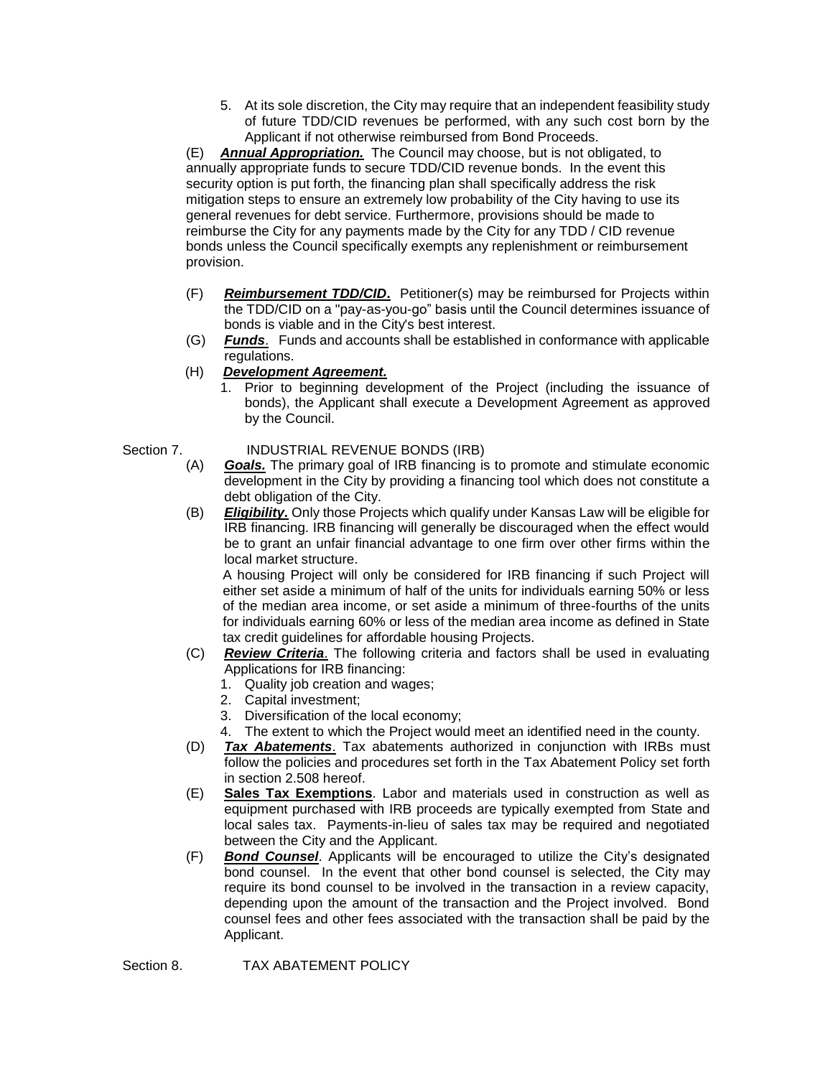5. At its sole discretion, the City may require that an independent feasibility study of future TDD/CID revenues be performed, with any such cost born by the Applicant if not otherwise reimbursed from Bond Proceeds.

(E) *Annual Appropriation.* The Council may choose, but is not obligated, to annually appropriate funds to secure TDD/CID revenue bonds. In the event this security option is put forth, the financing plan shall specifically address the risk mitigation steps to ensure an extremely low probability of the City having to use its general revenues for debt service. Furthermore, provisions should be made to reimburse the City for any payments made by the City for any TDD / CID revenue bonds unless the Council specifically exempts any replenishment or reimbursement provision.

- (F) *Reimbursement TDD/CID***.** Petitioner(s) may be reimbursed for Projects within the TDD/CID on a "pay-as-you-go" basis until the Council determines issuance of bonds is viable and in the City's best interest.
- (G) *Funds*. Funds and accounts shall be established in conformance with applicable regulations.
- (H) *Development Agreement.*
	- 1. Prior to beginning development of the Project (including the issuance of bonds), the Applicant shall execute a Development Agreement as approved by the Council.

# Section 7. **INDUSTRIAL REVENUE BONDS (IRB)**

- (A) *Goals.* The primary goal of IRB financing is to promote and stimulate economic development in the City by providing a financing tool which does not constitute a debt obligation of the City.
- (B) *Eligibility.* Only those Projects which qualify under Kansas Law will be eligible for IRB financing. IRB financing will generally be discouraged when the effect would be to grant an unfair financial advantage to one firm over other firms within the local market structure.

A housing Project will only be considered for IRB financing if such Project will either set aside a minimum of half of the units for individuals earning 50% or less of the median area income, or set aside a minimum of three-fourths of the units for individuals earning 60% or less of the median area income as defined in State tax credit guidelines for affordable housing Projects.

- (C) *Review Criteria*. The following criteria and factors shall be used in evaluating Applications for IRB financing:
	- 1. Quality job creation and wages;
	- 2. Capital investment;
	- 3. Diversification of the local economy;
	- 4. The extent to which the Project would meet an identified need in the county.
- (D) *Tax Abatements*. Tax abatements authorized in conjunction with IRBs must follow the policies and procedures set forth in the Tax Abatement Policy set forth in section 2.508 hereof.
- (E) **Sales Tax Exemptions**. Labor and materials used in construction as well as equipment purchased with IRB proceeds are typically exempted from State and local sales tax. Payments-in-lieu of sales tax may be required and negotiated between the City and the Applicant.
- (F) *Bond Counsel*. Applicants will be encouraged to utilize the City's designated bond counsel. In the event that other bond counsel is selected, the City may require its bond counsel to be involved in the transaction in a review capacity, depending upon the amount of the transaction and the Project involved. Bond counsel fees and other fees associated with the transaction shall be paid by the Applicant.

Section 8. TAX ABATEMENT POLICY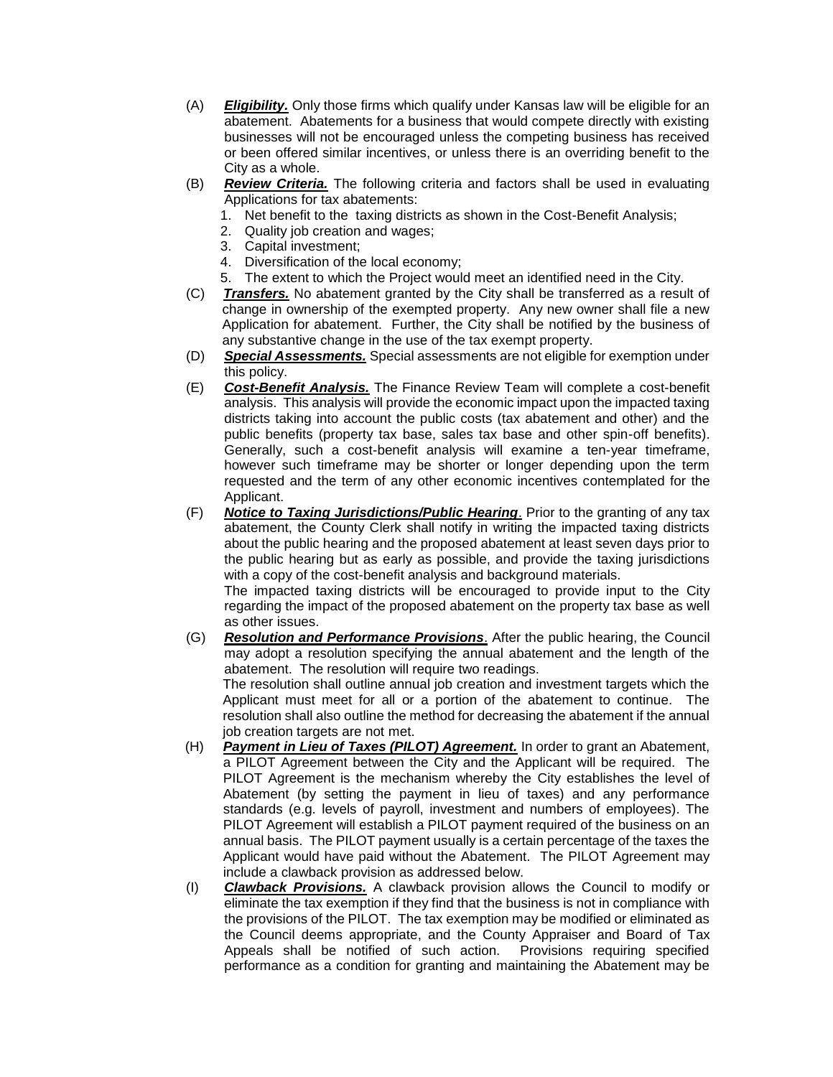- (A) *Eligibility.* Only those firms which qualify under Kansas law will be eligible for an abatement. Abatements for a business that would compete directly with existing businesses will not be encouraged unless the competing business has received or been offered similar incentives, or unless there is an overriding benefit to the City as a whole.
- (B) *Review Criteria.* The following criteria and factors shall be used in evaluating Applications for tax abatements:
	- 1. Net benefit to the taxing districts as shown in the Cost-Benefit Analysis;
	- 2. Quality job creation and wages;
	- 3. Capital investment;
	- 4. Diversification of the local economy;
	- 5. The extent to which the Project would meet an identified need in the City.
- (C) *Transfers.* No abatement granted by the City shall be transferred as a result of change in ownership of the exempted property. Any new owner shall file a new Application for abatement. Further, the City shall be notified by the business of any substantive change in the use of the tax exempt property.
- (D) *Special Assessments.* Special assessments are not eligible for exemption under this policy.
- (E) *Cost-Benefit Analysis.* The Finance Review Team will complete a cost-benefit analysis. This analysis will provide the economic impact upon the impacted taxing districts taking into account the public costs (tax abatement and other) and the public benefits (property tax base, sales tax base and other spin-off benefits). Generally, such a cost-benefit analysis will examine a ten-year timeframe, however such timeframe may be shorter or longer depending upon the term requested and the term of any other economic incentives contemplated for the Applicant.
- (F) *Notice to Taxing Jurisdictions/Public Hearing*. Prior to the granting of any tax abatement, the County Clerk shall notify in writing the impacted taxing districts about the public hearing and the proposed abatement at least seven days prior to the public hearing but as early as possible, and provide the taxing jurisdictions with a copy of the cost-benefit analysis and background materials.

The impacted taxing districts will be encouraged to provide input to the City regarding the impact of the proposed abatement on the property tax base as well as other issues.

(G) *Resolution and Performance Provisions*. After the public hearing, the Council may adopt a resolution specifying the annual abatement and the length of the abatement. The resolution will require two readings. The resolution shall outline annual job creation and investment targets which the Applicant must meet for all or a portion of the abatement to continue. The resolution shall also outline the method for decreasing the abatement if the annual

job creation targets are not met.

- (H) *Payment in Lieu of Taxes (PILOT) Agreement.* In order to grant an Abatement, a PILOT Agreement between the City and the Applicant will be required. The PILOT Agreement is the mechanism whereby the City establishes the level of Abatement (by setting the payment in lieu of taxes) and any performance standards (e.g. levels of payroll, investment and numbers of employees). The PILOT Agreement will establish a PILOT payment required of the business on an annual basis. The PILOT payment usually is a certain percentage of the taxes the Applicant would have paid without the Abatement. The PILOT Agreement may include a clawback provision as addressed below.
- (I) *Clawback Provisions.* A clawback provision allows the Council to modify or eliminate the tax exemption if they find that the business is not in compliance with the provisions of the PILOT. The tax exemption may be modified or eliminated as the Council deems appropriate, and the County Appraiser and Board of Tax Appeals shall be notified of such action. Provisions requiring specified performance as a condition for granting and maintaining the Abatement may be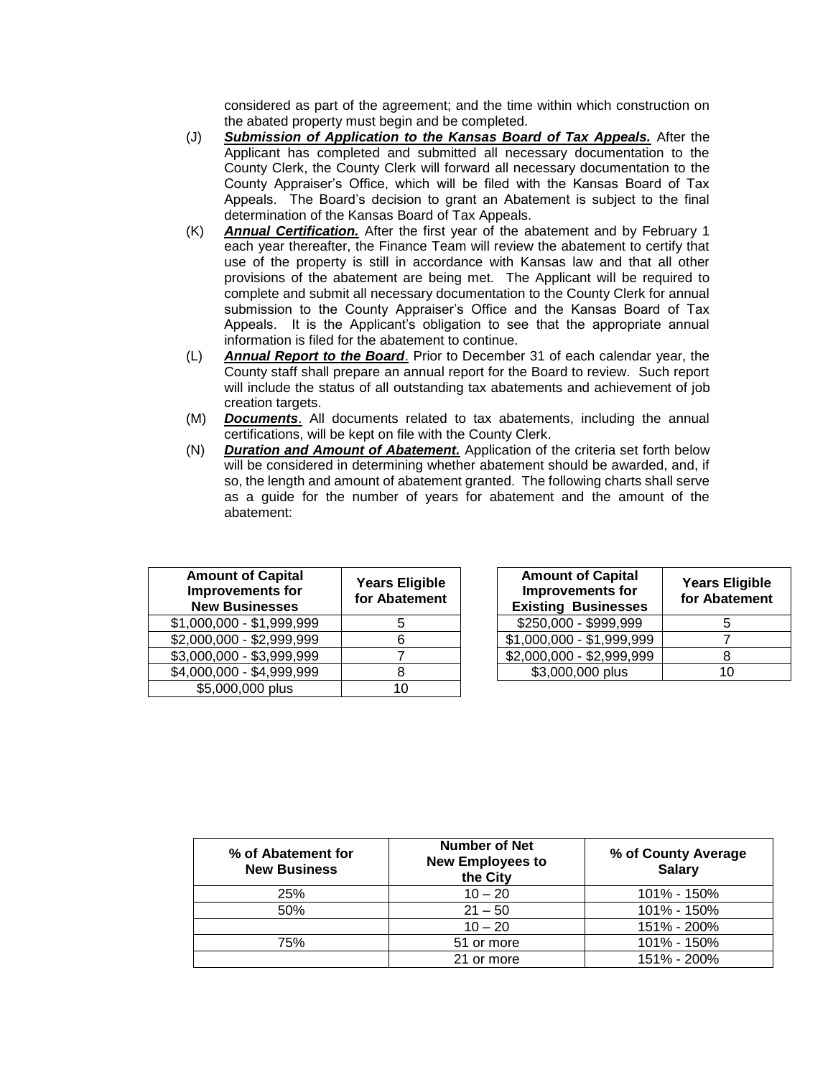considered as part of the agreement; and the time within which construction on the abated property must begin and be completed.

- (J) *Submission of Application to the Kansas Board of Tax Appeals.* After the Applicant has completed and submitted all necessary documentation to the County Clerk, the County Clerk will forward all necessary documentation to the County Appraiser's Office, which will be filed with the Kansas Board of Tax Appeals. The Board's decision to grant an Abatement is subject to the final determination of the Kansas Board of Tax Appeals.
- (K) *Annual Certification.* After the first year of the abatement and by February 1 each year thereafter, the Finance Team will review the abatement to certify that use of the property is still in accordance with Kansas law and that all other provisions of the abatement are being met. The Applicant will be required to complete and submit all necessary documentation to the County Clerk for annual submission to the County Appraiser's Office and the Kansas Board of Tax Appeals. It is the Applicant's obligation to see that the appropriate annual information is filed for the abatement to continue.
- (L) *Annual Report to the Board*. Prior to December 31 of each calendar year, the County staff shall prepare an annual report for the Board to review. Such report will include the status of all outstanding tax abatements and achievement of job creation targets.
- (M) *Documents*. All documents related to tax abatements, including the annual certifications, will be kept on file with the County Clerk.
- (N) *Duration and Amount of Abatement.* Application of the criteria set forth below will be considered in determining whether abatement should be awarded, and, if so, the length and amount of abatement granted. The following charts shall serve as a guide for the number of years for abatement and the amount of the abatement:

| <b>Amount of Capital</b><br><b>Improvements for</b><br><b>New Businesses</b> | <b>Years Eligible</b><br>for Abatement | <b>Amount of Capital</b><br><b>Improvements for</b><br><b>Existing Businesses</b> | <b>Years El</b><br>for Abat |
|------------------------------------------------------------------------------|----------------------------------------|-----------------------------------------------------------------------------------|-----------------------------|
| \$1,000,000 - \$1,999,999                                                    |                                        | \$250,000 - \$999,999                                                             | 5                           |
| \$2,000,000 - \$2,999,999                                                    | 6                                      | \$1,000,000 - \$1,999,999                                                         |                             |
| \$3,000,000 - \$3,999,999                                                    |                                        | \$2,000,000 - \$2,999,999                                                         | 8                           |
| \$4,000,000 - \$4,999,999                                                    | 8                                      | \$3,000,000 plus                                                                  | 10                          |
| \$5,000,000 plus                                                             | 10                                     |                                                                                   |                             |

| <b>Amount of Capital</b><br>Improvements for<br><b>Existing Businesses</b> | <b>Years Eligible</b><br>for Abatement |  |
|----------------------------------------------------------------------------|----------------------------------------|--|
| \$250,000 - \$999,999                                                      | 5                                      |  |
| $$1,000,000 - $1,999,999$                                                  |                                        |  |
| \$2,000,000 - \$2,999,999                                                  |                                        |  |
| \$3,000,000 plus                                                           | 1 በ                                    |  |

| % of Abatement for<br><b>New Business</b> | <b>Number of Net</b><br><b>New Employees to</b><br>the City | % of County Average<br><b>Salary</b> |
|-------------------------------------------|-------------------------------------------------------------|--------------------------------------|
| 25%                                       | $10 - 20$                                                   | 101% - 150%                          |
| 50%                                       | $21 - 50$                                                   | 101% - 150%                          |
|                                           | $10 - 20$                                                   | 151% - 200%                          |
| 75%                                       | 51 or more                                                  | 101% - 150%                          |
|                                           | 21 or more                                                  | 151% - 200%                          |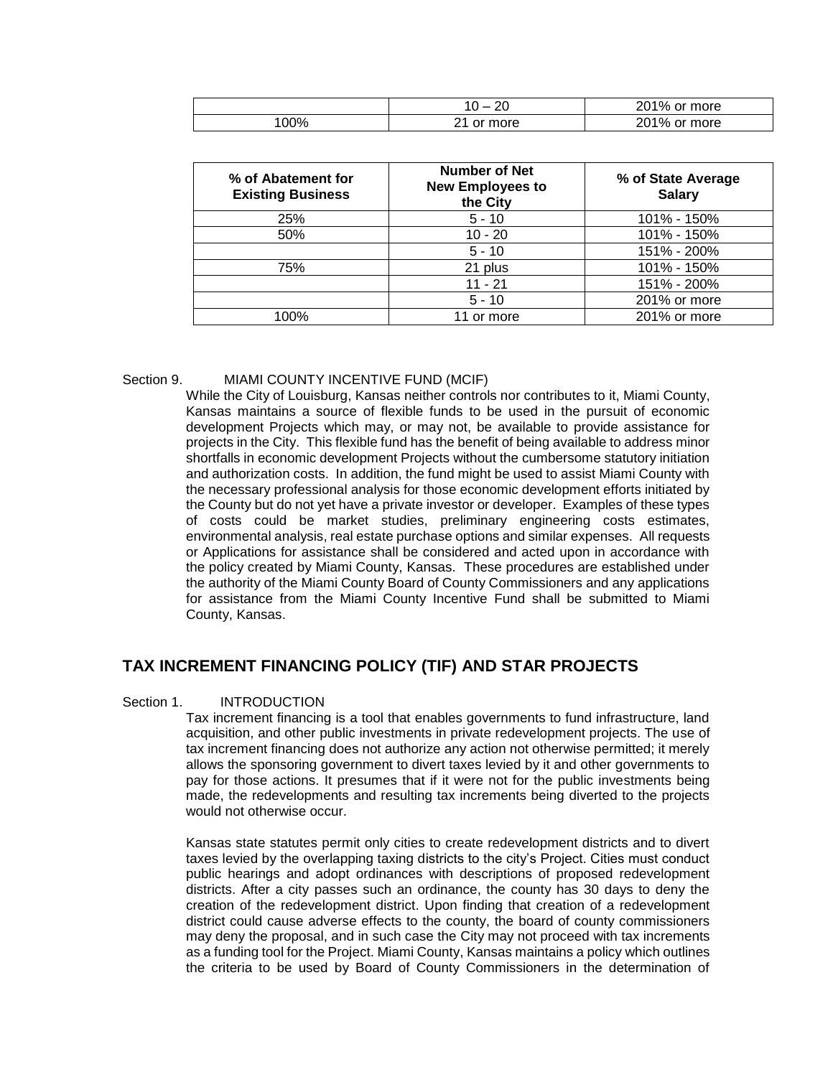|     | $\sim$<br>$\sim$ $-$<br>-- | 201%<br>or more |
|-----|----------------------------|-----------------|
| 00% | or more                    | 201% or more    |

| % of Abatement for<br><b>Existing Business</b> | <b>Number of Net</b><br><b>New Employees to</b><br>the City | % of State Average<br><b>Salary</b> |
|------------------------------------------------|-------------------------------------------------------------|-------------------------------------|
| 25%                                            | $5 - 10$                                                    | 101% - 150%                         |
| 50%                                            | $10 - 20$                                                   | 101% - 150%                         |
|                                                | $5 - 10$                                                    | 151% - 200%                         |
| 75%                                            | 21 plus                                                     | 101% - 150%                         |
|                                                | $11 - 21$                                                   | 151% - 200%                         |
|                                                | $5 - 10$                                                    | 201% or more                        |
| 100%                                           | 11 or more                                                  | 201% or more                        |

#### Section 9. MIAMI COUNTY INCENTIVE FUND (MCIF)

While the City of Louisburg, Kansas neither controls nor contributes to it, Miami County, Kansas maintains a source of flexible funds to be used in the pursuit of economic development Projects which may, or may not, be available to provide assistance for projects in the City. This flexible fund has the benefit of being available to address minor shortfalls in economic development Projects without the cumbersome statutory initiation and authorization costs. In addition, the fund might be used to assist Miami County with the necessary professional analysis for those economic development efforts initiated by the County but do not yet have a private investor or developer. Examples of these types of costs could be market studies, preliminary engineering costs estimates, environmental analysis, real estate purchase options and similar expenses. All requests or Applications for assistance shall be considered and acted upon in accordance with the policy created by Miami County, Kansas. These procedures are established under the authority of the Miami County Board of County Commissioners and any applications for assistance from the Miami County Incentive Fund shall be submitted to Miami County, Kansas.

# **TAX INCREMENT FINANCING POLICY (TIF) AND STAR PROJECTS**

#### Section 1. **INTRODUCTION**

Tax increment financing is a tool that enables governments to fund infrastructure, land acquisition, and other public investments in private redevelopment projects. The use of tax increment financing does not authorize any action not otherwise permitted; it merely allows the sponsoring government to divert taxes levied by it and other governments to pay for those actions. It presumes that if it were not for the public investments being made, the redevelopments and resulting tax increments being diverted to the projects would not otherwise occur.

Kansas state statutes permit only cities to create redevelopment districts and to divert taxes levied by the overlapping taxing districts to the city's Project. Cities must conduct public hearings and adopt ordinances with descriptions of proposed redevelopment districts. After a city passes such an ordinance, the county has 30 days to deny the creation of the redevelopment district. Upon finding that creation of a redevelopment district could cause adverse effects to the county, the board of county commissioners may deny the proposal, and in such case the City may not proceed with tax increments as a funding tool for the Project. Miami County, Kansas maintains a policy which outlines the criteria to be used by Board of County Commissioners in the determination of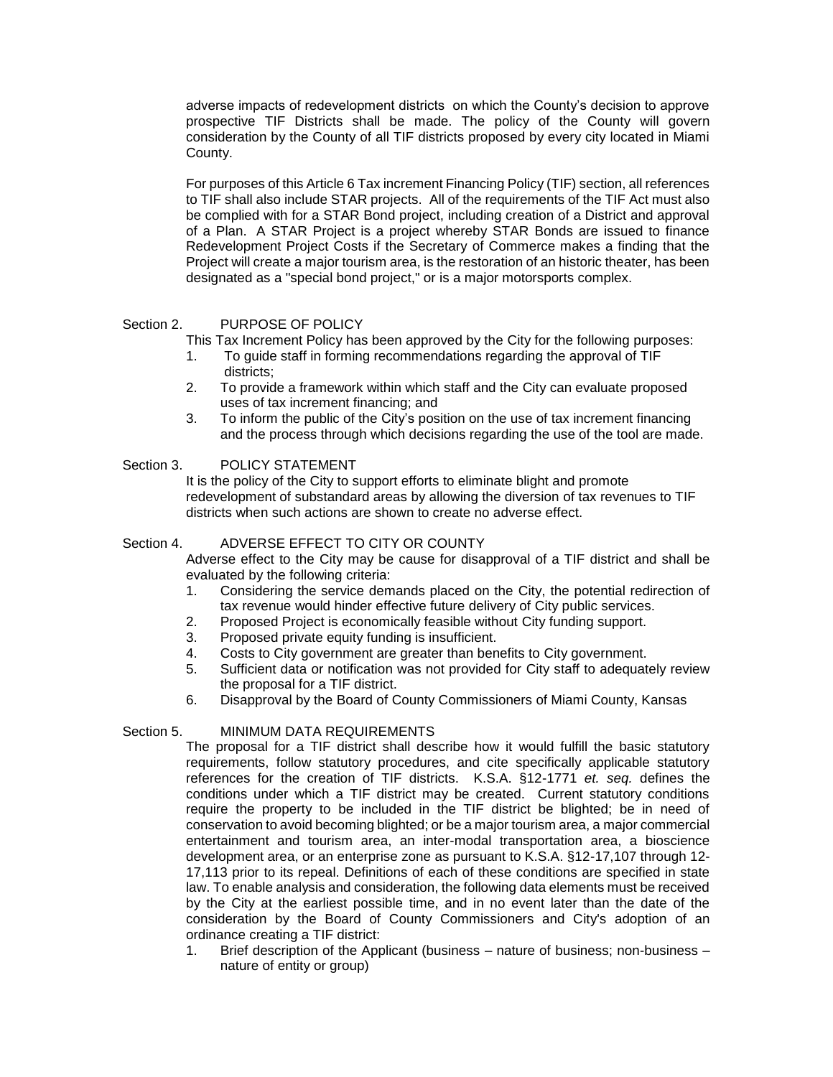adverse impacts of redevelopment districts on which the County's decision to approve prospective TIF Districts shall be made. The policy of the County will govern consideration by the County of all TIF districts proposed by every city located in Miami County.

For purposes of this Article 6 Tax increment Financing Policy (TIF) section, all references to TIF shall also include STAR projects. All of the requirements of the TIF Act must also be complied with for a STAR Bond project, including creation of a District and approval of a Plan. A STAR Project is a project whereby STAR Bonds are issued to finance Redevelopment Project Costs if the Secretary of Commerce makes a finding that the Project will create a major tourism area, is the restoration of an historic theater, has been designated as a "special bond project," or is a major motorsports complex.

### Section 2. PURPOSE OF POLICY

This Tax Increment Policy has been approved by the City for the following purposes:

- 1. To guide staff in forming recommendations regarding the approval of TIF districts;
- 2. To provide a framework within which staff and the City can evaluate proposed uses of tax increment financing; and
- 3. To inform the public of the City's position on the use of tax increment financing and the process through which decisions regarding the use of the tool are made.

### Section 3. POLICY STATEMENT

It is the policy of the City to support efforts to eliminate blight and promote redevelopment of substandard areas by allowing the diversion of tax revenues to TIF districts when such actions are shown to create no adverse effect.

#### Section 4. ADVERSE EFFECT TO CITY OR COUNTY

Adverse effect to the City may be cause for disapproval of a TIF district and shall be evaluated by the following criteria:

- 1. Considering the service demands placed on the City, the potential redirection of tax revenue would hinder effective future delivery of City public services.
- 2. Proposed Project is economically feasible without City funding support.
- 3. Proposed private equity funding is insufficient.
- 4. Costs to City government are greater than benefits to City government.
- 5. Sufficient data or notification was not provided for City staff to adequately review the proposal for a TIF district.
- 6. Disapproval by the Board of County Commissioners of Miami County, Kansas

#### Section 5. MINIMUM DATA REQUIREMENTS

The proposal for a TIF district shall describe how it would fulfill the basic statutory requirements, follow statutory procedures, and cite specifically applicable statutory references for the creation of TIF districts. K.S.A. §12-1771 *et. seq.* defines the conditions under which a TIF district may be created. Current statutory conditions require the property to be included in the TIF district be blighted; be in need of conservation to avoid becoming blighted; or be a major tourism area, a major commercial entertainment and tourism area, an inter-modal transportation area, a bioscience development area, or an enterprise zone as pursuant to K.S.A. §12-17,107 through 12- 17,113 prior to its repeal. Definitions of each of these conditions are specified in state law. To enable analysis and consideration, the following data elements must be received by the City at the earliest possible time, and in no event later than the date of the consideration by the Board of County Commissioners and City's adoption of an ordinance creating a TIF district:

1. Brief description of the Applicant (business – nature of business; non-business – nature of entity or group)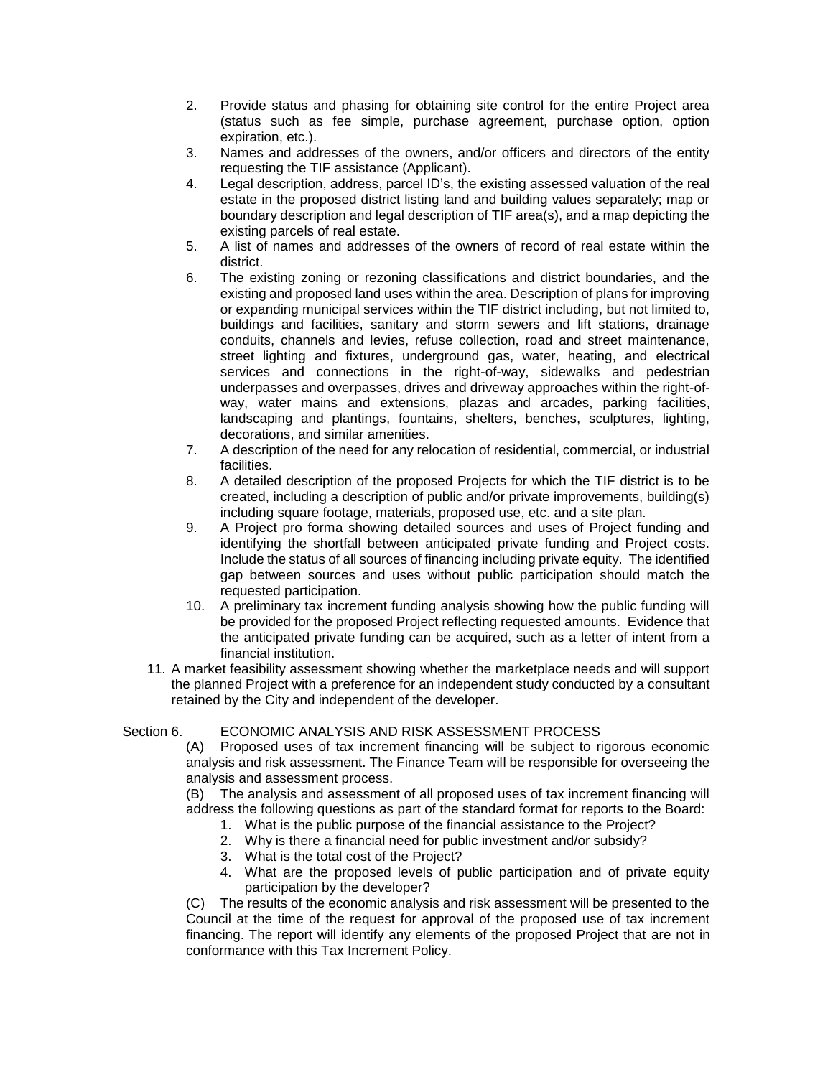- 2. Provide status and phasing for obtaining site control for the entire Project area (status such as fee simple, purchase agreement, purchase option, option expiration, etc.).
- 3. Names and addresses of the owners, and/or officers and directors of the entity requesting the TIF assistance (Applicant).
- 4. Legal description, address, parcel ID's, the existing assessed valuation of the real estate in the proposed district listing land and building values separately; map or boundary description and legal description of TIF area(s), and a map depicting the existing parcels of real estate.
- 5. A list of names and addresses of the owners of record of real estate within the district.
- 6. The existing zoning or rezoning classifications and district boundaries, and the existing and proposed land uses within the area. Description of plans for improving or expanding municipal services within the TIF district including, but not limited to, buildings and facilities, sanitary and storm sewers and lift stations, drainage conduits, channels and levies, refuse collection, road and street maintenance, street lighting and fixtures, underground gas, water, heating, and electrical services and connections in the right-of-way, sidewalks and pedestrian underpasses and overpasses, drives and driveway approaches within the right-ofway, water mains and extensions, plazas and arcades, parking facilities, landscaping and plantings, fountains, shelters, benches, sculptures, lighting, decorations, and similar amenities.
- 7. A description of the need for any relocation of residential, commercial, or industrial facilities.
- 8. A detailed description of the proposed Projects for which the TIF district is to be created, including a description of public and/or private improvements, building(s) including square footage, materials, proposed use, etc. and a site plan.
- 9. A Project pro forma showing detailed sources and uses of Project funding and identifying the shortfall between anticipated private funding and Project costs. Include the status of all sources of financing including private equity. The identified gap between sources and uses without public participation should match the requested participation.
- 10. A preliminary tax increment funding analysis showing how the public funding will be provided for the proposed Project reflecting requested amounts. Evidence that the anticipated private funding can be acquired, such as a letter of intent from a financial institution.
- 11. A market feasibility assessment showing whether the marketplace needs and will support the planned Project with a preference for an independent study conducted by a consultant retained by the City and independent of the developer.

# Section 6. ECONOMIC ANALYSIS AND RISK ASSESSMENT PROCESS

(A) Proposed uses of tax increment financing will be subject to rigorous economic analysis and risk assessment. The Finance Team will be responsible for overseeing the analysis and assessment process.

(B) The analysis and assessment of all proposed uses of tax increment financing will address the following questions as part of the standard format for reports to the Board:

- 1. What is the public purpose of the financial assistance to the Project?
- 2. Why is there a financial need for public investment and/or subsidy?
- 3. What is the total cost of the Project?
- 4. What are the proposed levels of public participation and of private equity participation by the developer?

(C) The results of the economic analysis and risk assessment will be presented to the Council at the time of the request for approval of the proposed use of tax increment financing. The report will identify any elements of the proposed Project that are not in conformance with this Tax Increment Policy.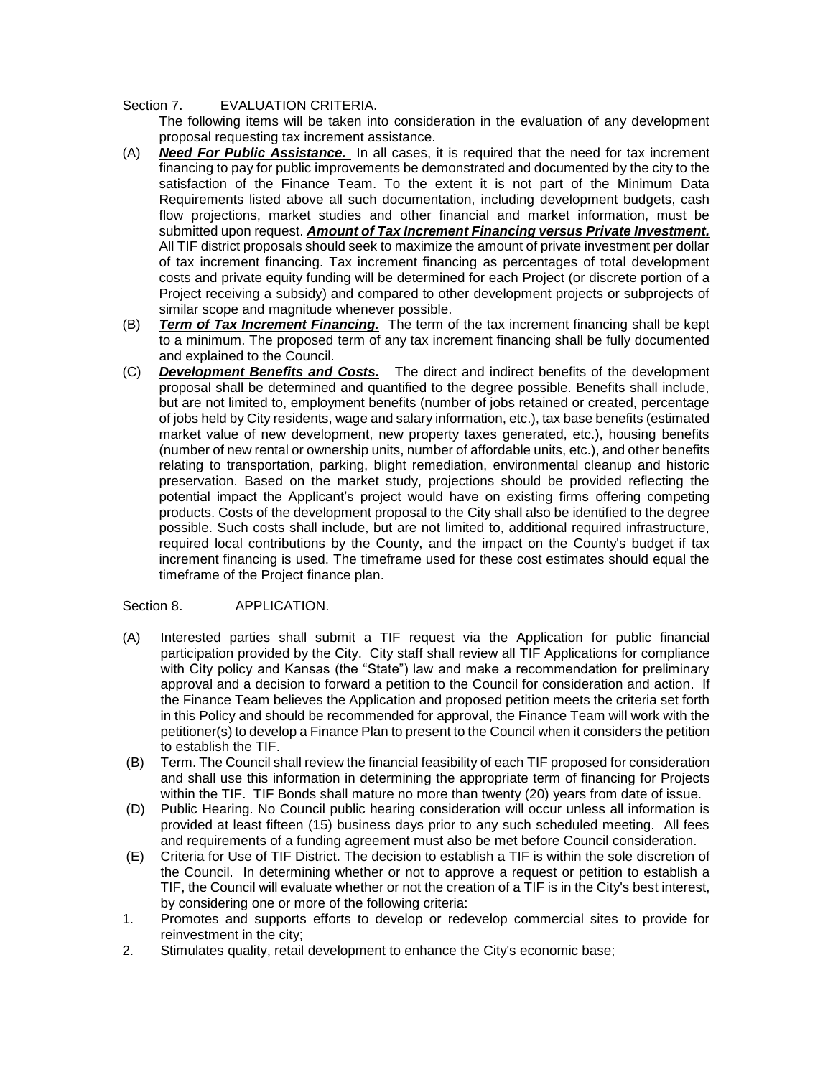#### Section 7. EVALUATION CRITERIA.

The following items will be taken into consideration in the evaluation of any development proposal requesting tax increment assistance.

- (A) *Need For Public Assistance.* In all cases, it is required that the need for tax increment financing to pay for public improvements be demonstrated and documented by the city to the satisfaction of the Finance Team. To the extent it is not part of the Minimum Data Requirements listed above all such documentation, including development budgets, cash flow projections, market studies and other financial and market information, must be submitted upon request. *Amount of Tax Increment Financing versus Private Investment.* All TIF district proposals should seek to maximize the amount of private investment per dollar of tax increment financing. Tax increment financing as percentages of total development costs and private equity funding will be determined for each Project (or discrete portion of a Project receiving a subsidy) and compared to other development projects or subprojects of similar scope and magnitude whenever possible.
- (B) *Term of Tax Increment Financing.* The term of the tax increment financing shall be kept to a minimum. The proposed term of any tax increment financing shall be fully documented and explained to the Council.
- (C) *Development Benefits and Costs.* The direct and indirect benefits of the development proposal shall be determined and quantified to the degree possible. Benefits shall include, but are not limited to, employment benefits (number of jobs retained or created, percentage of jobs held by City residents, wage and salary information, etc.), tax base benefits (estimated market value of new development, new property taxes generated, etc.), housing benefits (number of new rental or ownership units, number of affordable units, etc.), and other benefits relating to transportation, parking, blight remediation, environmental cleanup and historic preservation. Based on the market study, projections should be provided reflecting the potential impact the Applicant's project would have on existing firms offering competing products. Costs of the development proposal to the City shall also be identified to the degree possible. Such costs shall include, but are not limited to, additional required infrastructure, required local contributions by the County, and the impact on the County's budget if tax increment financing is used. The timeframe used for these cost estimates should equal the timeframe of the Project finance plan.

Section 8. APPLICATION.

- (A) Interested parties shall submit a TIF request via the Application for public financial participation provided by the City. City staff shall review all TIF Applications for compliance with City policy and Kansas (the "State") law and make a recommendation for preliminary approval and a decision to forward a petition to the Council for consideration and action. If the Finance Team believes the Application and proposed petition meets the criteria set forth in this Policy and should be recommended for approval, the Finance Team will work with the petitioner(s) to develop a Finance Plan to present to the Council when it considers the petition to establish the TIF.
- (B) Term. The Council shall review the financial feasibility of each TIF proposed for consideration and shall use this information in determining the appropriate term of financing for Projects within the TIF. TIF Bonds shall mature no more than twenty (20) years from date of issue.
- (D) Public Hearing. No Council public hearing consideration will occur unless all information is provided at least fifteen (15) business days prior to any such scheduled meeting. All fees and requirements of a funding agreement must also be met before Council consideration.
- (E) Criteria for Use of TIF District. The decision to establish a TIF is within the sole discretion of the Council. In determining whether or not to approve a request or petition to establish a TIF, the Council will evaluate whether or not the creation of a TIF is in the City's best interest, by considering one or more of the following criteria:
- 1. Promotes and supports efforts to develop or redevelop commercial sites to provide for reinvestment in the city;
- 2. Stimulates quality, retail development to enhance the City's economic base;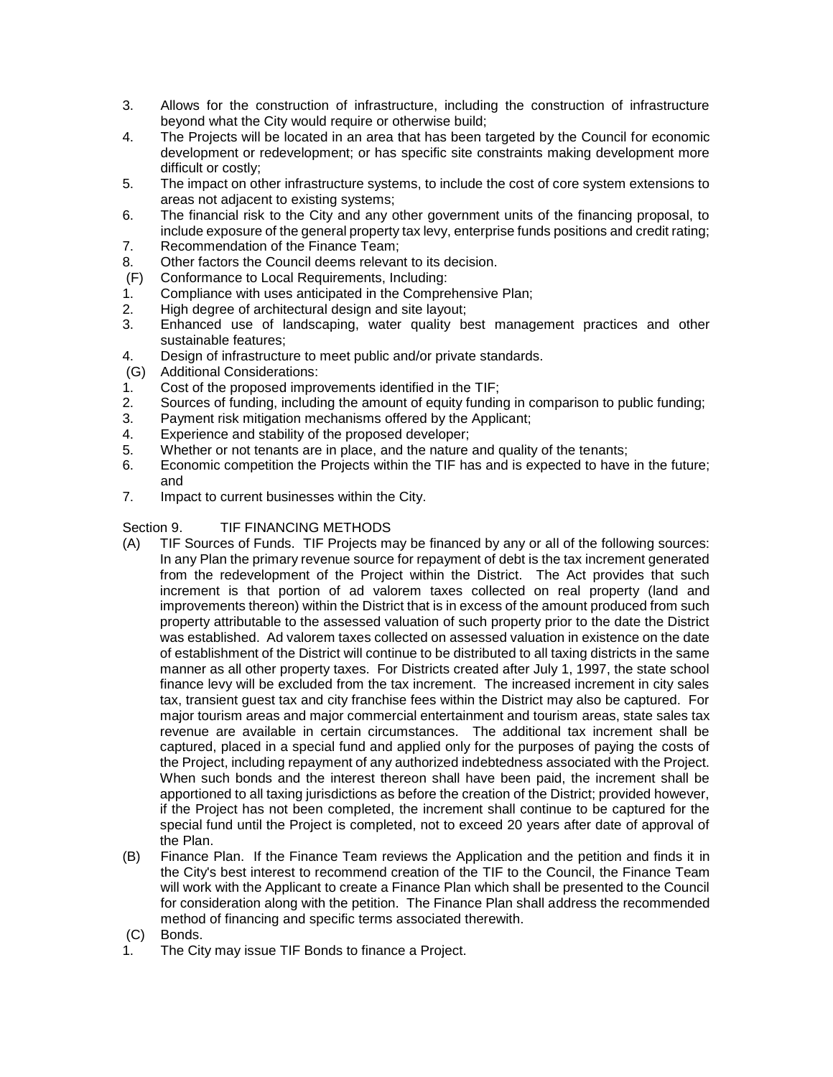- 3. Allows for the construction of infrastructure, including the construction of infrastructure beyond what the City would require or otherwise build;
- 4. The Projects will be located in an area that has been targeted by the Council for economic development or redevelopment; or has specific site constraints making development more difficult or costly;
- 5. The impact on other infrastructure systems, to include the cost of core system extensions to areas not adjacent to existing systems;
- 6. The financial risk to the City and any other government units of the financing proposal, to include exposure of the general property tax levy, enterprise funds positions and credit rating;
- 7. Recommendation of the Finance Team;
- 8. Other factors the Council deems relevant to its decision.
- (F) Conformance to Local Requirements, Including:
- 1. Compliance with uses anticipated in the Comprehensive Plan;
- 2. High degree of architectural design and site layout;
- 3. Enhanced use of landscaping, water quality best management practices and other sustainable features;
- 4. Design of infrastructure to meet public and/or private standards.
- (G) Additional Considerations:
- 1. Cost of the proposed improvements identified in the TIF;
- 2. Sources of funding, including the amount of equity funding in comparison to public funding;
- 3. Payment risk mitigation mechanisms offered by the Applicant;
- 4. Experience and stability of the proposed developer;
- 5. Whether or not tenants are in place, and the nature and quality of the tenants;
- 6. Economic competition the Projects within the TIF has and is expected to have in the future; and
- 7. Impact to current businesses within the City.

# Section 9. TIF FINANCING METHODS

- (A) TIF Sources of Funds. TIF Projects may be financed by any or all of the following sources: In any Plan the primary revenue source for repayment of debt is the tax increment generated from the redevelopment of the Project within the District. The Act provides that such increment is that portion of ad valorem taxes collected on real property (land and improvements thereon) within the District that is in excess of the amount produced from such property attributable to the assessed valuation of such property prior to the date the District was established. Ad valorem taxes collected on assessed valuation in existence on the date of establishment of the District will continue to be distributed to all taxing districts in the same manner as all other property taxes. For Districts created after July 1, 1997, the state school finance levy will be excluded from the tax increment. The increased increment in city sales tax, transient guest tax and city franchise fees within the District may also be captured. For major tourism areas and major commercial entertainment and tourism areas, state sales tax revenue are available in certain circumstances. The additional tax increment shall be captured, placed in a special fund and applied only for the purposes of paying the costs of the Project, including repayment of any authorized indebtedness associated with the Project. When such bonds and the interest thereon shall have been paid, the increment shall be apportioned to all taxing jurisdictions as before the creation of the District; provided however, if the Project has not been completed, the increment shall continue to be captured for the special fund until the Project is completed, not to exceed 20 years after date of approval of the Plan.
- (B) Finance Plan. If the Finance Team reviews the Application and the petition and finds it in the City's best interest to recommend creation of the TIF to the Council, the Finance Team will work with the Applicant to create a Finance Plan which shall be presented to the Council for consideration along with the petition. The Finance Plan shall address the recommended method of financing and specific terms associated therewith.
- (C) Bonds.
- 1. The City may issue TIF Bonds to finance a Project.